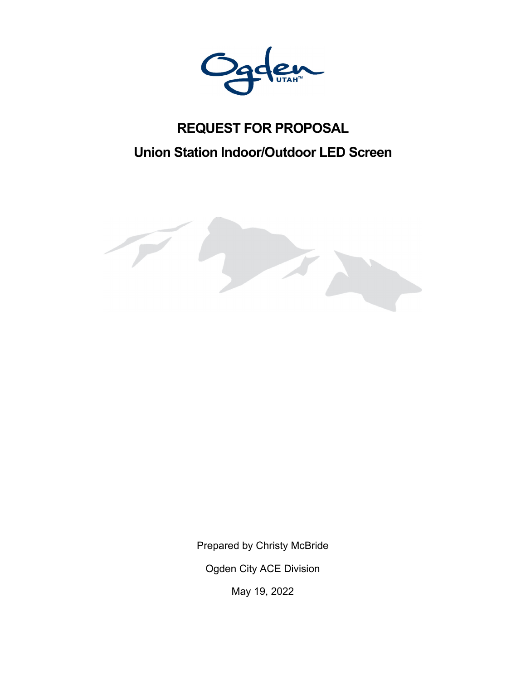

# **REQUEST FOR PROPOSAL Union Station Indoor/Outdoor LED Screen**



Prepared by Christy McBride

Ogden City ACE Division

May 19, 2022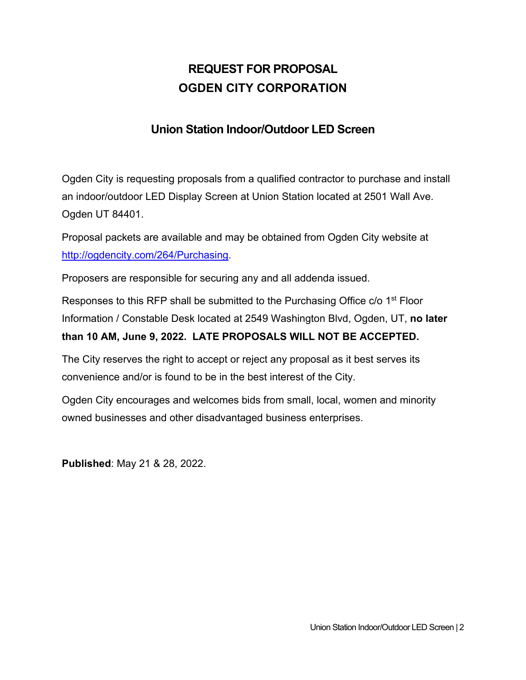# **REQUEST FOR PROPOSAL OGDEN CITY CORPORATION**

### **Union Station Indoor/Outdoor LED Screen**

Ogden City is requesting proposals from a qualified contractor to purchase and install an indoor/outdoor LED Display Screen at Union Station located at 2501 Wall Ave. Ogden UT 84401.

Proposal packets are available and may be obtained from Ogden City website at http://ogdencity.com/264/Purchasing.

Proposers are responsible for securing any and all addenda issued.

Responses to this RFP shall be submitted to the Purchasing Office c/o 1<sup>st</sup> Floor Information / Constable Desk located at 2549 Washington Blvd, Ogden, UT, **no later** 

#### **than 10 AM, June 9, 2022. LATE PROPOSALS WILL NOT BE ACCEPTED.**

The City reserves the right to accept or reject any proposal as it best serves its convenience and/or is found to be in the best interest of the City.

Ogden City encourages and welcomes bids from small, local, women and minority owned businesses and other disadvantaged business enterprises.

**Published**: May 21 & 28, 2022.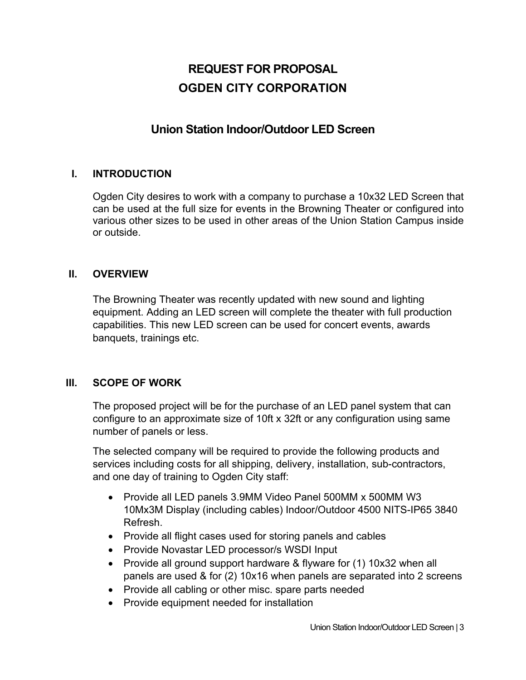# **REQUEST FOR PROPOSAL OGDEN CITY CORPORATION**

### **Union Station Indoor/Outdoor LED Screen**

#### **I. INTRODUCTION**

Ogden City desires to work with a company to purchase a 10x32 LED Screen that can be used at the full size for events in the Browning Theater or configured into various other sizes to be used in other areas of the Union Station Campus inside or outside.

#### **II. OVERVIEW**

The Browning Theater was recently updated with new sound and lighting equipment. Adding an LED screen will complete the theater with full production capabilities. This new LED screen can be used for concert events, awards banquets, trainings etc.

#### **III. SCOPE OF WORK**

The proposed project will be for the purchase of an LED panel system that can configure to an approximate size of 10ft x 32ft or any configuration using same number of panels or less.

The selected company will be required to provide the following products and services including costs for all shipping, delivery, installation, sub-contractors, and one day of training to Ogden City staff:

- Provide all LED panels 3.9MM Video Panel 500MM x 500MM W3 10Mx3M Display (including cables) Indoor/Outdoor 4500 NITS-IP65 3840 Refresh.
- Provide all flight cases used for storing panels and cables
- Provide Novastar LED processor/s WSDI Input
- Provide all ground support hardware & flyware for (1) 10x32 when all panels are used & for (2) 10x16 when panels are separated into 2 screens
- Provide all cabling or other misc. spare parts needed
- Provide equipment needed for installation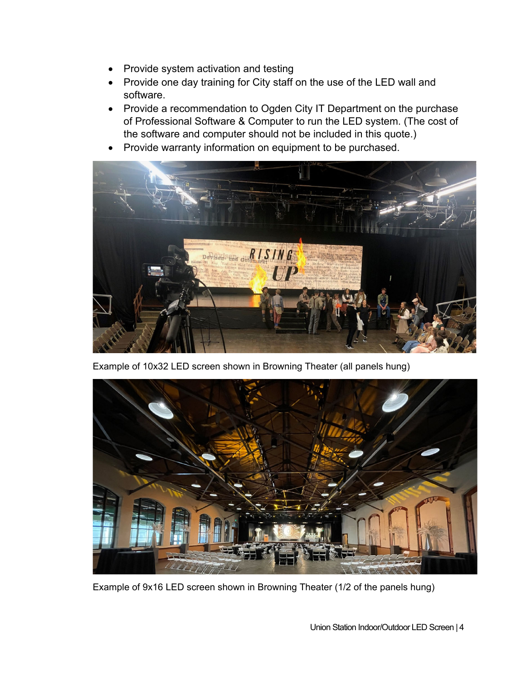- Provide system activation and testing
- Provide one day training for City staff on the use of the LED wall and software.
- Provide a recommendation to Ogden City IT Department on the purchase of Professional Software & Computer to run the LED system. (The cost of the software and computer should not be included in this quote.)
- Provide warranty information on equipment to be purchased.



Example of 10x32 LED screen shown in Browning Theater (all panels hung)



Example of 9x16 LED screen shown in Browning Theater (1/2 of the panels hung)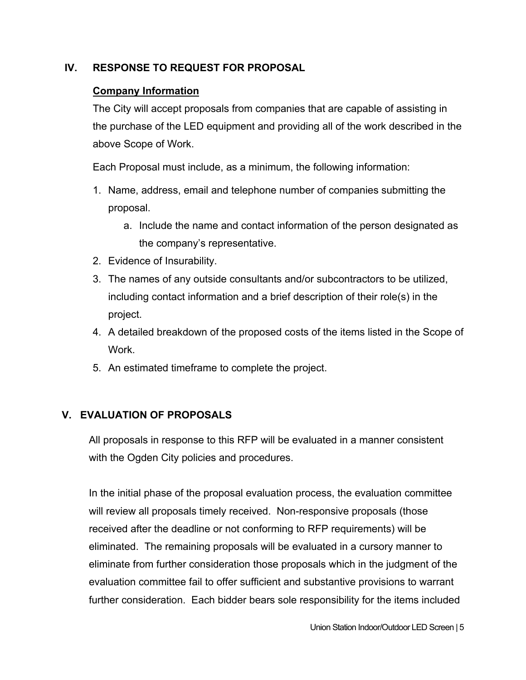#### **IV. RESPONSE TO REQUEST FOR PROPOSAL**

#### **Company Information**

The City will accept proposals from companies that are capable of assisting in the purchase of the LED equipment and providing all of the work described in the above Scope of Work.

Each Proposal must include, as a minimum, the following information:

- 1. Name, address, email and telephone number of companies submitting the proposal.
	- a. Include the name and contact information of the person designated as the company's representative.
- 2. Evidence of Insurability.
- 3. The names of any outside consultants and/or subcontractors to be utilized, including contact information and a brief description of their role(s) in the project.
- 4. A detailed breakdown of the proposed costs of the items listed in the Scope of **Work**
- 5. An estimated timeframe to complete the project.

#### **V. EVALUATION OF PROPOSALS**

All proposals in response to this RFP will be evaluated in a manner consistent with the Ogden City policies and procedures.

In the initial phase of the proposal evaluation process, the evaluation committee will review all proposals timely received. Non-responsive proposals (those received after the deadline or not conforming to RFP requirements) will be eliminated. The remaining proposals will be evaluated in a cursory manner to eliminate from further consideration those proposals which in the judgment of the evaluation committee fail to offer sufficient and substantive provisions to warrant further consideration. Each bidder bears sole responsibility for the items included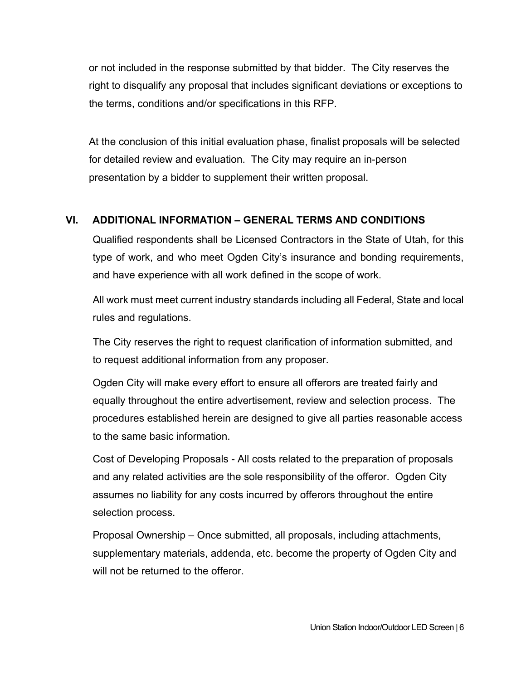or not included in the response submitted by that bidder. The City reserves the right to disqualify any proposal that includes significant deviations or exceptions to the terms, conditions and/or specifications in this RFP.

At the conclusion of this initial evaluation phase, finalist proposals will be selected for detailed review and evaluation. The City may require an in-person presentation by a bidder to supplement their written proposal.

#### **VI. ADDITIONAL INFORMATION – GENERAL TERMS AND CONDITIONS**

Qualified respondents shall be Licensed Contractors in the State of Utah, for this type of work, and who meet Ogden City's insurance and bonding requirements, and have experience with all work defined in the scope of work.

All work must meet current industry standards including all Federal, State and local rules and regulations.

The City reserves the right to request clarification of information submitted, and to request additional information from any proposer.

Ogden City will make every effort to ensure all offerors are treated fairly and equally throughout the entire advertisement, review and selection process. The procedures established herein are designed to give all parties reasonable access to the same basic information.

Cost of Developing Proposals - All costs related to the preparation of proposals and any related activities are the sole responsibility of the offeror. Ogden City assumes no liability for any costs incurred by offerors throughout the entire selection process.

Proposal Ownership – Once submitted, all proposals, including attachments, supplementary materials, addenda, etc. become the property of Ogden City and will not be returned to the offeror.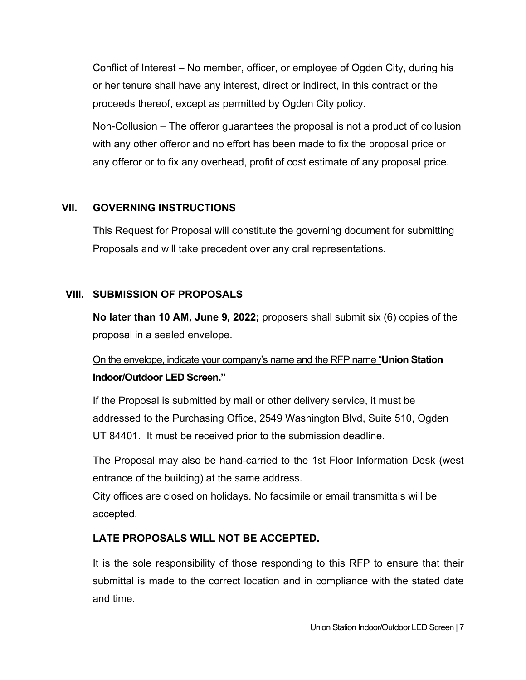Conflict of Interest – No member, officer, or employee of Ogden City, during his or her tenure shall have any interest, direct or indirect, in this contract or the proceeds thereof, except as permitted by Ogden City policy.

Non-Collusion – The offeror guarantees the proposal is not a product of collusion with any other offeror and no effort has been made to fix the proposal price or any offeror or to fix any overhead, profit of cost estimate of any proposal price.

#### **VII. GOVERNING INSTRUCTIONS**

This Request for Proposal will constitute the governing document for submitting Proposals and will take precedent over any oral representations.

#### **VIII. SUBMISSION OF PROPOSALS**

**No later than 10 AM, June 9, 2022;** proposers shall submit six (6) copies of the proposal in a sealed envelope.

## On the envelope, indicate your company's name and the RFP name "**Union Station Indoor/Outdoor LED Screen."**

If the Proposal is submitted by mail or other delivery service, it must be addressed to the Purchasing Office, 2549 Washington Blvd, Suite 510, Ogden UT 84401. It must be received prior to the submission deadline.

The Proposal may also be hand-carried to the 1st Floor Information Desk (west entrance of the building) at the same address.

City offices are closed on holidays. No facsimile or email transmittals will be accepted.

#### **LATE PROPOSALS WILL NOT BE ACCEPTED.**

It is the sole responsibility of those responding to this RFP to ensure that their submittal is made to the correct location and in compliance with the stated date and time.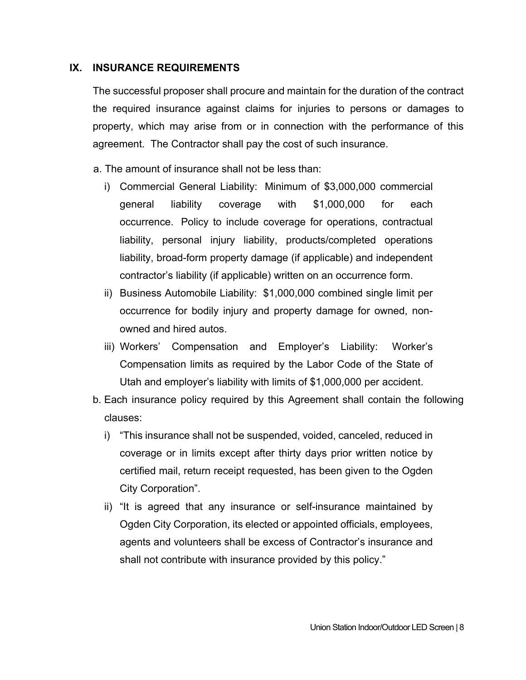#### **IX. INSURANCE REQUIREMENTS**

The successful proposer shall procure and maintain for the duration of the contract the required insurance against claims for injuries to persons or damages to property, which may arise from or in connection with the performance of this agreement. The Contractor shall pay the cost of such insurance.

- a. The amount of insurance shall not be less than:
	- i) Commercial General Liability: Minimum of \$3,000,000 commercial general liability coverage with \$1,000,000 for each occurrence. Policy to include coverage for operations, contractual liability, personal injury liability, products/completed operations liability, broad-form property damage (if applicable) and independent contractor's liability (if applicable) written on an occurrence form.
	- ii) Business Automobile Liability: \$1,000,000 combined single limit per occurrence for bodily injury and property damage for owned, nonowned and hired autos.
	- iii) Workers' Compensation and Employer's Liability: Worker's Compensation limits as required by the Labor Code of the State of Utah and employer's liability with limits of \$1,000,000 per accident.
- b. Each insurance policy required by this Agreement shall contain the following clauses:
	- i) "This insurance shall not be suspended, voided, canceled, reduced in coverage or in limits except after thirty days prior written notice by certified mail, return receipt requested, has been given to the Ogden City Corporation".
	- ii) "It is agreed that any insurance or self-insurance maintained by Ogden City Corporation, its elected or appointed officials, employees, agents and volunteers shall be excess of Contractor's insurance and shall not contribute with insurance provided by this policy."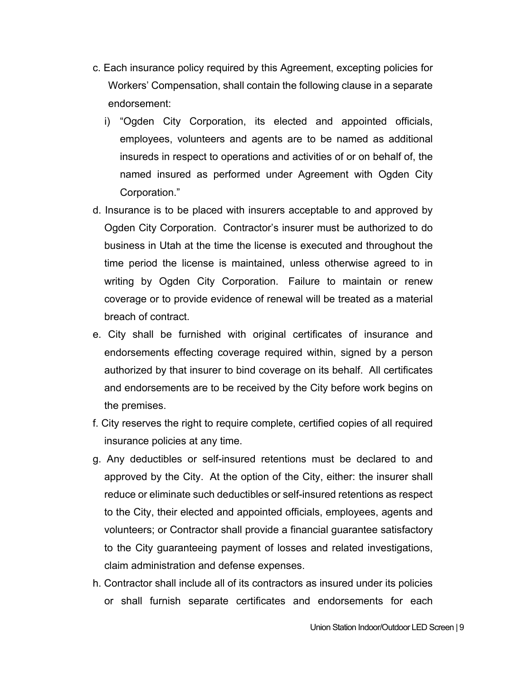- c. Each insurance policy required by this Agreement, excepting policies for Workers' Compensation, shall contain the following clause in a separate endorsement:
	- i) "Ogden City Corporation, its elected and appointed officials, employees, volunteers and agents are to be named as additional insureds in respect to operations and activities of or on behalf of, the named insured as performed under Agreement with Ogden City Corporation."
- d. Insurance is to be placed with insurers acceptable to and approved by Ogden City Corporation. Contractor's insurer must be authorized to do business in Utah at the time the license is executed and throughout the time period the license is maintained, unless otherwise agreed to in writing by Ogden City Corporation. Failure to maintain or renew coverage or to provide evidence of renewal will be treated as a material breach of contract.
- e. City shall be furnished with original certificates of insurance and endorsements effecting coverage required within, signed by a person authorized by that insurer to bind coverage on its behalf. All certificates and endorsements are to be received by the City before work begins on the premises.
- f. City reserves the right to require complete, certified copies of all required insurance policies at any time.
- g. Any deductibles or self-insured retentions must be declared to and approved by the City. At the option of the City, either: the insurer shall reduce or eliminate such deductibles or self-insured retentions as respect to the City, their elected and appointed officials, employees, agents and volunteers; or Contractor shall provide a financial guarantee satisfactory to the City guaranteeing payment of losses and related investigations, claim administration and defense expenses.
- h. Contractor shall include all of its contractors as insured under its policies or shall furnish separate certificates and endorsements for each